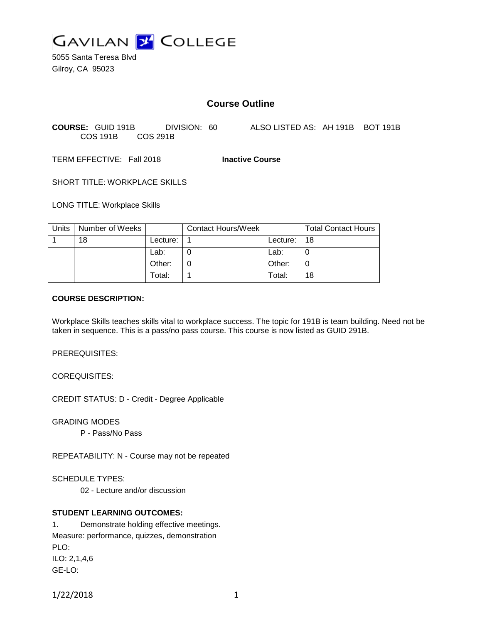

5055 Santa Teresa Blvd Gilroy, CA 95023

# **Course Outline**

**COURSE:** GUID 191B DIVISION: 60 ALSO LISTED AS: AH 191B BOT 191B COS 191B COS 291B

TERM EFFECTIVE: Fall 2018 **Inactive Course**

SHORT TITLE: WORKPLACE SKILLS

LONG TITLE: Workplace Skills

| Units | Number of Weeks |            | <b>Contact Hours/Week</b> |          | <b>Total Contact Hours</b> |
|-------|-----------------|------------|---------------------------|----------|----------------------------|
|       | 18              | Lecture: . |                           | Lecture: | 18                         |
|       |                 | Lab:       |                           | Lab:     |                            |
|       |                 | Other:     |                           | Other:   |                            |
|       |                 | Total:     |                           | Total:   | 18                         |

#### **COURSE DESCRIPTION:**

Workplace Skills teaches skills vital to workplace success. The topic for 191B is team building. Need not be taken in sequence. This is a pass/no pass course. This course is now listed as GUID 291B.

PREREQUISITES:

COREQUISITES:

CREDIT STATUS: D - Credit - Degree Applicable

GRADING MODES

P - Pass/No Pass

REPEATABILITY: N - Course may not be repeated

SCHEDULE TYPES:

02 - Lecture and/or discussion

## **STUDENT LEARNING OUTCOMES:**

1. Demonstrate holding effective meetings. Measure: performance, quizzes, demonstration PLO: ILO: 2,1,4,6 GE-LO:

1/22/2018 1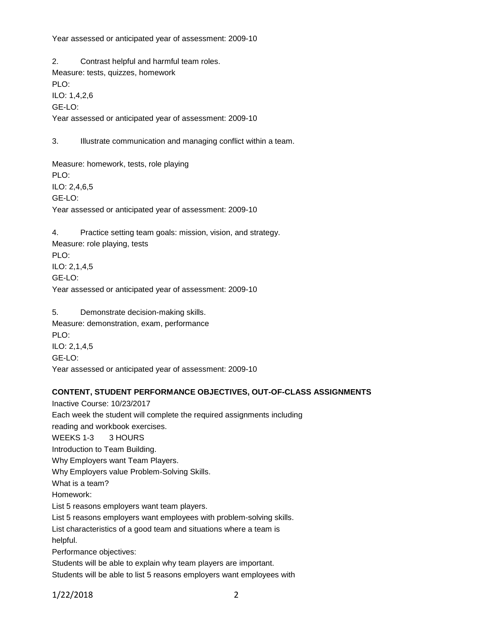Year assessed or anticipated year of assessment: 2009-10

2. Contrast helpful and harmful team roles. Measure: tests, quizzes, homework PLO: ILO: 1,4,2,6 GE-LO: Year assessed or anticipated year of assessment: 2009-10

3. Illustrate communication and managing conflict within a team.

Measure: homework, tests, role playing PLO: ILO: 2,4,6,5 GE-LO: Year assessed or anticipated year of assessment: 2009-10

4. Practice setting team goals: mission, vision, and strategy. Measure: role playing, tests PLO: ILO: 2,1,4,5 GE-LO: Year assessed or anticipated year of assessment: 2009-10

5. Demonstrate decision-making skills. Measure: demonstration, exam, performance PLO: ILO: 2,1,4,5 GE-LO: Year assessed or anticipated year of assessment: 2009-10

### **CONTENT, STUDENT PERFORMANCE OBJECTIVES, OUT-OF-CLASS ASSIGNMENTS**

Inactive Course: 10/23/2017 Each week the student will complete the required assignments including reading and workbook exercises. WEEKS 1-3 3 HOURS Introduction to Team Building. Why Employers want Team Players. Why Employers value Problem-Solving Skills. What is a team? Homework: List 5 reasons employers want team players. List 5 reasons employers want employees with problem-solving skills. List characteristics of a good team and situations where a team is helpful. Performance objectives: Students will be able to explain why team players are important.

Students will be able to list 5 reasons employers want employees with

1/22/2018 2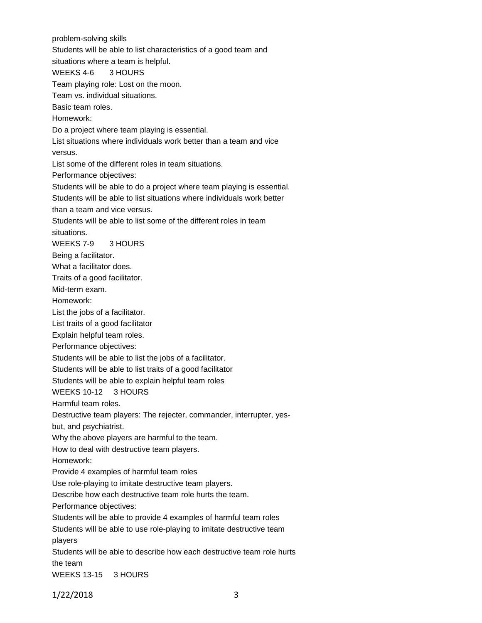problem-solving skills

Students will be able to list characteristics of a good team and

situations where a team is helpful.

### WEEKS 4-6 3 HOURS

Team playing role: Lost on the moon.

Team vs. individual situations.

Basic team roles.

Homework:

Do a project where team playing is essential.

List situations where individuals work better than a team and vice versus.

List some of the different roles in team situations.

Performance objectives:

Students will be able to do a project where team playing is essential.

Students will be able to list situations where individuals work better

than a team and vice versus.

Students will be able to list some of the different roles in team

situations.

WEEKS 7-9 3 HOURS

Being a facilitator.

What a facilitator does.

Traits of a good facilitator.

Mid-term exam.

Homework:

List the jobs of a facilitator.

List traits of a good facilitator

Explain helpful team roles.

Performance objectives:

Students will be able to list the jobs of a facilitator.

Students will be able to list traits of a good facilitator

Students will be able to explain helpful team roles

WEEKS 10-12 3 HOURS

Harmful team roles.

Destructive team players: The rejecter, commander, interrupter, yes-

but, and psychiatrist.

Why the above players are harmful to the team.

How to deal with destructive team players.

Homework:

Provide 4 examples of harmful team roles

Use role-playing to imitate destructive team players.

Describe how each destructive team role hurts the team.

Performance objectives:

Students will be able to provide 4 examples of harmful team roles

Students will be able to use role-playing to imitate destructive team

players

Students will be able to describe how each destructive team role hurts the team

WEEKS 13-15 3 HOURS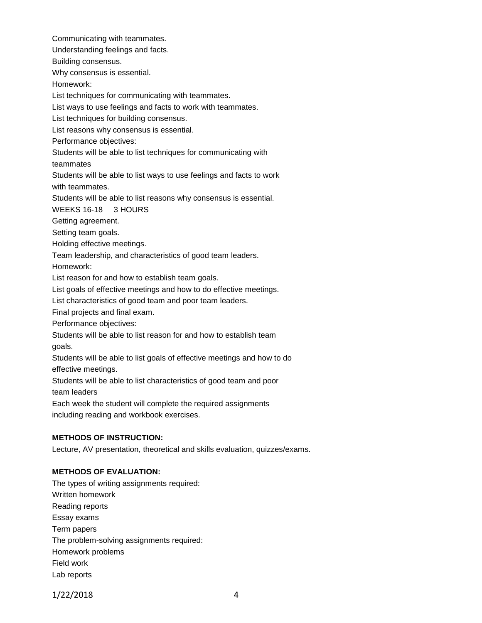Communicating with teammates.

Understanding feelings and facts.

Building consensus.

Why consensus is essential.

Homework:

List techniques for communicating with teammates.

List ways to use feelings and facts to work with teammates.

List techniques for building consensus.

List reasons why consensus is essential.

Performance objectives:

Students will be able to list techniques for communicating with

teammates

Students will be able to list ways to use feelings and facts to work with teammates.

Students will be able to list reasons why consensus is essential.

WEEKS 16-18 3 HOURS

Getting agreement.

Setting team goals.

Holding effective meetings.

Team leadership, and characteristics of good team leaders.

Homework:

List reason for and how to establish team goals.

List goals of effective meetings and how to do effective meetings.

List characteristics of good team and poor team leaders.

Final projects and final exam.

Performance objectives:

Students will be able to list reason for and how to establish team goals.

Students will be able to list goals of effective meetings and how to do effective meetings.

Students will be able to list characteristics of good team and poor team leaders

Each week the student will complete the required assignments including reading and workbook exercises.

## **METHODS OF INSTRUCTION:**

Lecture, AV presentation, theoretical and skills evaluation, quizzes/exams.

## **METHODS OF EVALUATION:**

The types of writing assignments required: Written homework Reading reports Essay exams Term papers The problem-solving assignments required: Homework problems Field work Lab reports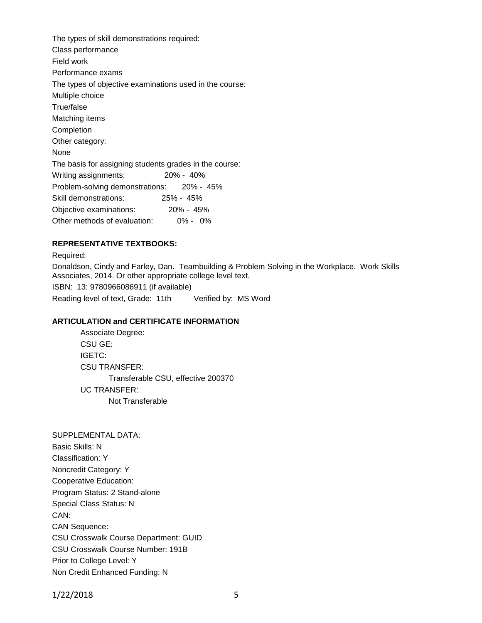The types of skill demonstrations required: Class performance Field work Performance exams The types of objective examinations used in the course: Multiple choice True/false Matching items Completion Other category: None The basis for assigning students grades in the course: Writing assignments: 20% - 40% Problem-solving demonstrations: 20% - 45% Skill demonstrations: 25% - 45% Objective examinations: 20% - 45% Other methods of evaluation: 0% - 0%

### **REPRESENTATIVE TEXTBOOKS:**

Required:

Donaldson, Cindy and Farley, Dan. Teambuilding & Problem Solving in the Workplace. Work Skills Associates, 2014. Or other appropriate college level text.

ISBN: 13: 9780966086911 (if available)

Reading level of text, Grade: 11th Verified by: MS Word

#### **ARTICULATION and CERTIFICATE INFORMATION**

Associate Degree: CSU GE: IGETC: CSU TRANSFER: Transferable CSU, effective 200370 UC TRANSFER: Not Transferable

SUPPLEMENTAL DATA: Basic Skills: N Classification: Y Noncredit Category: Y Cooperative Education: Program Status: 2 Stand-alone Special Class Status: N CAN: CAN Sequence: CSU Crosswalk Course Department: GUID CSU Crosswalk Course Number: 191B Prior to College Level: Y Non Credit Enhanced Funding: N

1/22/2018 5